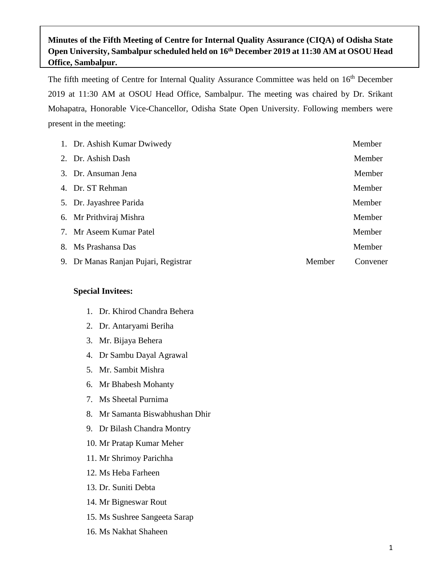## **Minutes of the Fifth Meeting of Centre for Internal Quality Assurance (CIQA) of Odisha State Open University, Sambalpur scheduled held on 16th December 2019 at 11:30 AM at OSOU Head Office, Sambalpur.**

The fifth meeting of Centre for Internal Quality Assurance Committee was held on 16<sup>th</sup> December 2019 at 11:30 AM at OSOU Head Office, Sambalpur. The meeting was chaired by Dr. Srikant Mohapatra, Honorable Vice-Chancellor, Odisha State Open University. Following members were present in the meeting:

| 1. Dr. Ashish Kumar Dwiwedy          |        | Member   |
|--------------------------------------|--------|----------|
| 2. Dr. Ashish Dash                   |        | Member   |
| 3. Dr. Ansuman Jena                  |        | Member   |
| 4. Dr. ST Rehman                     |        | Member   |
| 5. Dr. Jayashree Parida              |        | Member   |
| 6. Mr Prithviraj Mishra              |        | Member   |
| 7. Mr Aseem Kumar Patel              |        | Member   |
| 8. Ms Prashansa Das                  |        | Member   |
| 9. Dr Manas Ranjan Pujari, Registrar | Member | Convener |
|                                      |        |          |

#### **Special Invitees:**

- 1. Dr. Khirod Chandra Behera
- 2. Dr. Antaryami Beriha
- 3. Mr. Bijaya Behera
- 4. Dr Sambu Dayal Agrawal
- 5. Mr. Sambit Mishra
- 6. Mr Bhabesh Mohanty
- 7. Ms Sheetal Purnima
- 8. Mr Samanta Biswabhushan Dhir
- 9. Dr Bilash Chandra Montry
- 10. Mr Pratap Kumar Meher
- 11. Mr Shrimoy Parichha
- 12. Ms Heba Farheen
- 13. Dr. Suniti Debta
- 14. Mr Bigneswar Rout
- 15. Ms Sushree Sangeeta Sarap
- 16. Ms Nakhat Shaheen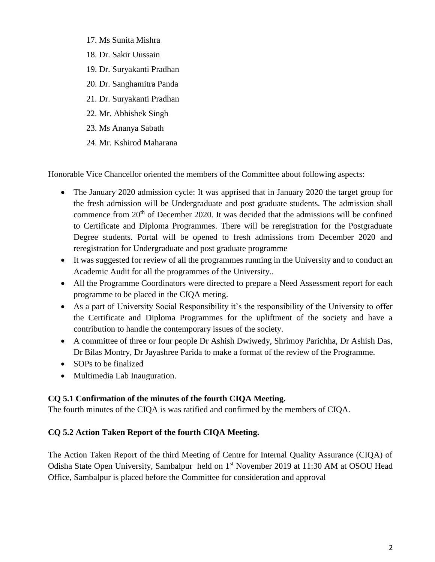- 17. Ms Sunita Mishra
- 18. Dr. Sakir Uussain
- 19. Dr. Suryakanti Pradhan
- 20. Dr. Sanghamitra Panda
- 21. Dr. Suryakanti Pradhan
- 22. Mr. Abhishek Singh
- 23. Ms Ananya Sabath
- 24. Mr. Kshirod Maharana

Honorable Vice Chancellor oriented the members of the Committee about following aspects:

- The January 2020 admission cycle: It was apprised that in January 2020 the target group for the fresh admission will be Undergraduate and post graduate students. The admission shall commence from 20<sup>th</sup> of December 2020. It was decided that the admissions will be confined to Certificate and Diploma Programmes. There will be reregistration for the Postgraduate Degree students. Portal will be opened to fresh admissions from December 2020 and reregistration for Undergraduate and post graduate programme
- It was suggested for review of all the programmes running in the University and to conduct an Academic Audit for all the programmes of the University..
- All the Programme Coordinators were directed to prepare a Need Assessment report for each programme to be placed in the CIQA meting.
- As a part of University Social Responsibility it's the responsibility of the University to offer the Certificate and Diploma Programmes for the upliftment of the society and have a contribution to handle the contemporary issues of the society.
- A committee of three or four people Dr Ashish Dwiwedy, Shrimoy Parichha, Dr Ashish Das, Dr Bilas Montry, Dr Jayashree Parida to make a format of the review of the Programme.
- SOPs to be finalized
- Multimedia Lab Inauguration.

### **CQ 5.1 Confirmation of the minutes of the fourth CIQA Meeting.**

The fourth minutes of the CIQA is was ratified and confirmed by the members of CIQA.

### **CQ 5.2 Action Taken Report of the fourth CIQA Meeting.**

The Action Taken Report of the third Meeting of Centre for Internal Quality Assurance (CIQA) of Odisha State Open University, Sambalpur held on 1<sup>st</sup> November 2019 at 11:30 AM at OSOU Head Office, Sambalpur is placed before the Committee for consideration and approval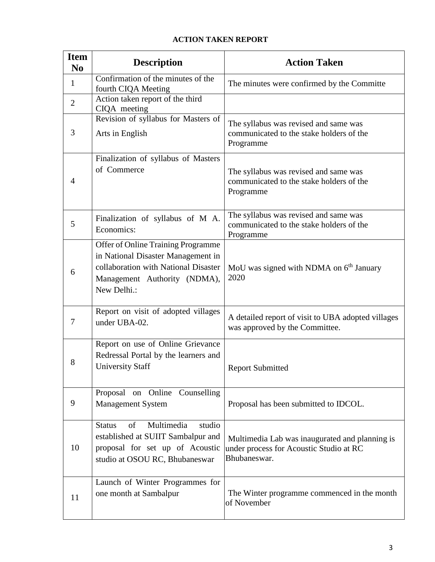# **ACTION TAKEN REPORT**

| <b>Item</b><br>N <sub>0</sub> | <b>Description</b>                                                                                                                                              | <b>Action Taken</b>                                                                                       |
|-------------------------------|-----------------------------------------------------------------------------------------------------------------------------------------------------------------|-----------------------------------------------------------------------------------------------------------|
| $\mathbf{1}$                  | Confirmation of the minutes of the<br>fourth CIQA Meeting                                                                                                       | The minutes were confirmed by the Committe                                                                |
| $\overline{2}$                | Action taken report of the third<br>CIQA meeting                                                                                                                |                                                                                                           |
| 3                             | Revision of syllabus for Masters of<br>Arts in English                                                                                                          | The syllabus was revised and same was<br>communicated to the stake holders of the<br>Programme            |
| 4                             | Finalization of syllabus of Masters<br>of Commerce                                                                                                              | The syllabus was revised and same was<br>communicated to the stake holders of the<br>Programme            |
| 5                             | Finalization of syllabus of M A.<br>Economics:                                                                                                                  | The syllabus was revised and same was<br>communicated to the stake holders of the<br>Programme            |
| 6                             | Offer of Online Training Programme<br>in National Disaster Management in<br>collaboration with National Disaster<br>Management Authority (NDMA),<br>New Delhi.: | MoU was signed with NDMA on 6 <sup>th</sup> January<br>2020                                               |
| 7                             | Report on visit of adopted villages<br>under UBA-02.                                                                                                            | A detailed report of visit to UBA adopted villages<br>was approved by the Committee.                      |
| 8                             | Report on use of Online Grievance<br>Redressal Portal by the learners and<br><b>University Staff</b>                                                            | <b>Report Submitted</b>                                                                                   |
| 9                             | Proposal on Online Counselling<br><b>Management System</b>                                                                                                      | Proposal has been submitted to IDCOL.                                                                     |
| 10                            | Multimedia<br>of<br>studio<br><b>Status</b><br>established at SUIIT Sambalpur and<br>proposal for set up of Acoustic<br>studio at OSOU RC, Bhubaneswar          | Multimedia Lab was inaugurated and planning is<br>under process for Acoustic Studio at RC<br>Bhubaneswar. |
| 11                            | Launch of Winter Programmes for<br>one month at Sambalpur                                                                                                       | The Winter programme commenced in the month<br>of November                                                |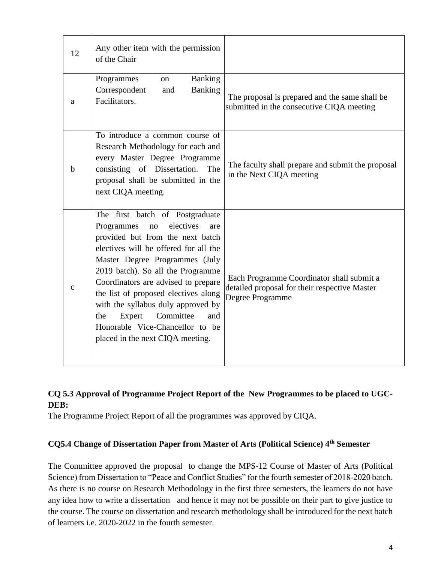| 12           | Any other item with the permission<br>of the Chair                                                                                                                                                                                                                                                                                                                                                                                                           |                                                                                                                |
|--------------|--------------------------------------------------------------------------------------------------------------------------------------------------------------------------------------------------------------------------------------------------------------------------------------------------------------------------------------------------------------------------------------------------------------------------------------------------------------|----------------------------------------------------------------------------------------------------------------|
| a            | Banking<br>Programmes<br>on<br>Correspondent<br><b>Banking</b><br>and<br>Facilitators.                                                                                                                                                                                                                                                                                                                                                                       | The proposal is prepared and the same shall be<br>submitted in the consecutive CIQA meeting                    |
| b            | To introduce a common course of<br>Research Methodology for each and<br>every Master Degree Programme<br>consisting of Dissertation.<br>The<br>proposal shall be submitted in the<br>next CIQA meeting.                                                                                                                                                                                                                                                      | The faculty shall prepare and submit the proposal<br>in the Next CIQA meeting                                  |
| $\mathbf{C}$ | The first batch of Postgraduate<br>electives<br>Programmes<br>no<br>are<br>provided but from the next batch<br>electives will be offered for all the<br>Master Degree Programmes (July<br>2019 batch). So all the Programme<br>Coordinators are advised to prepare<br>the list of proposed electives along<br>with the syllabus duly approved by<br>Expert<br>Committee<br>the<br>and<br>Honorable Vice-Chancellor to be<br>placed in the next CIQA meeting. | Each Programme Coordinator shall submit a<br>detailed proposal for their respective Master<br>Degree Programme |

### **CQ 5.3 Approval of Programme Project Report of the New Programmes to be placed to UGC-DEB:**

The Programme Project Report of all the programmes was approved by CIQA.

## **CQ5.4 Change of Dissertation Paper from Master of Arts (Political Science) 4th Semester**

The Committee approved the proposal to change the MPS-12 Course of Master of Arts (Political Science) from Dissertation to "Peace and Conflict Studies" for the fourth semester of 2018-2020 batch. As there is no course on Research Methodology in the first three semesters, the learners do not have any idea how to write a dissertation and hence it may not be possible on their part to give justice to the course. The course on dissertation and research methodology shall be introduced for the next batch of learners i.e. 2020-2022 in the fourth semester.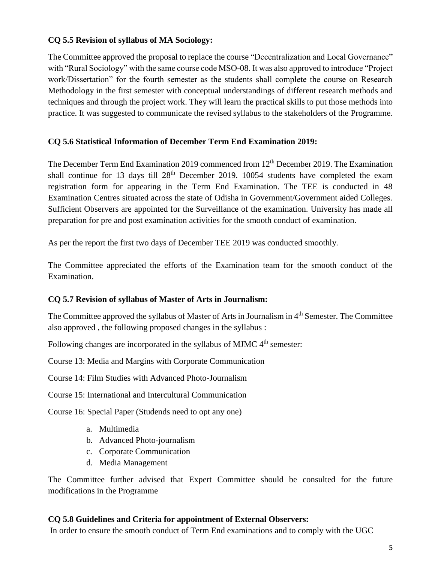#### **CQ 5.5 Revision of syllabus of MA Sociology:**

The Committee approved the proposal to replace the course "Decentralization and Local Governance" with "Rural Sociology" with the same course code MSO-08. It was also approved to introduce "Project" work/Dissertation" for the fourth semester as the students shall complete the course on Research Methodology in the first semester with conceptual understandings of different research methods and techniques and through the project work. They will learn the practical skills to put those methods into practice. It was suggested to communicate the revised syllabus to the stakeholders of the Programme.

### **CQ 5.6 Statistical Information of December Term End Examination 2019:**

The December Term End Examination 2019 commenced from 12<sup>th</sup> December 2019. The Examination shall continue for 13 days till  $28<sup>th</sup>$  December 2019. 10054 students have completed the exam registration form for appearing in the Term End Examination. The TEE is conducted in 48 Examination Centres situated across the state of Odisha in Government/Government aided Colleges. Sufficient Observers are appointed for the Surveillance of the examination. University has made all preparation for pre and post examination activities for the smooth conduct of examination.

As per the report the first two days of December TEE 2019 was conducted smoothly.

The Committee appreciated the efforts of the Examination team for the smooth conduct of the Examination.

### **CQ 5.7 Revision of syllabus of Master of Arts in Journalism:**

The Committee approved the syllabus of Master of Arts in Journalism in 4<sup>th</sup> Semester. The Committee also approved , the following proposed changes in the syllabus :

Following changes are incorporated in the syllabus of MJMC  $4<sup>th</sup>$  semester:

Course 13: Media and Margins with Corporate Communication

Course 14: Film Studies with Advanced Photo-Journalism

Course 15: International and Intercultural Communication

Course 16: Special Paper (Studends need to opt any one)

- a. Multimedia
- b. Advanced Photo-journalism
- c. Corporate Communication
- d. Media Management

The Committee further advised that Expert Committee should be consulted for the future modifications in the Programme

### **CQ 5.8 Guidelines and Criteria for appointment of External Observers:**

In order to ensure the smooth conduct of Term End examinations and to comply with the UGC